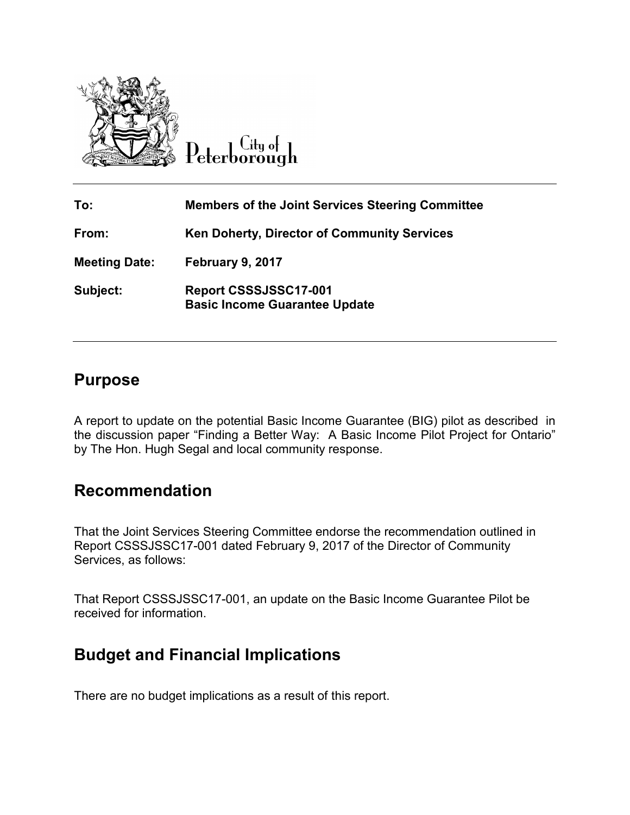

 $C$ ity of Peterborough

| To:                  | <b>Members of the Joint Services Steering Committee</b>       |
|----------------------|---------------------------------------------------------------|
| From:                | <b>Ken Doherty, Director of Community Services</b>            |
| <b>Meeting Date:</b> | February 9, 2017                                              |
| Subject:             | Report CSSSJSSC17-001<br><b>Basic Income Guarantee Update</b> |

### **Purpose**

A report to update on the potential Basic Income Guarantee (BIG) pilot as described in the discussion paper "Finding a Better Way: A Basic Income Pilot Project for Ontario" by The Hon. Hugh Segal and local community response.

### **Recommendation**

That the Joint Services Steering Committee endorse the recommendation outlined in Report CSSSJSSC17-001 dated February 9, 2017 of the Director of Community Services, as follows:

That Report CSSSJSSC17-001, an update on the Basic Income Guarantee Pilot be received for information.

# **Budget and Financial Implications**

There are no budget implications as a result of this report.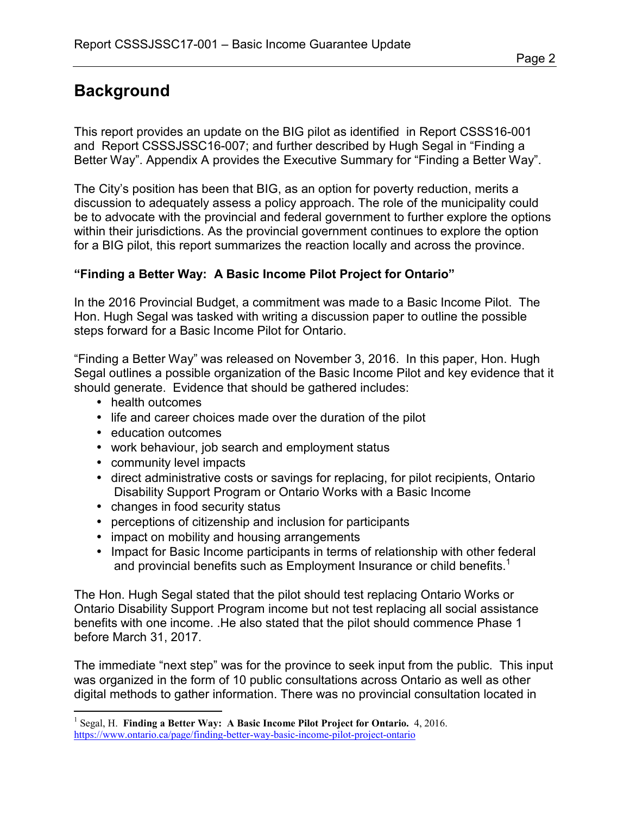# **Background**

This report provides an update on the BIG pilot as identified in Report CSSS16-001 and Report CSSSJSSC16-007; and further described by Hugh Segal in "Finding a Better Way". Appendix A provides the Executive Summary for "Finding a Better Way".

The City's position has been that BIG, as an option for poverty reduction, merits a discussion to adequately assess a policy approach. The role of the municipality could be to advocate with the provincial and federal government to further explore the options within their jurisdictions. As the provincial government continues to explore the option for a BIG pilot, this report summarizes the reaction locally and across the province.

#### **"Finding a Better Way: A Basic Income Pilot Project for Ontario"**

In the 2016 Provincial Budget, a commitment was made to a Basic Income Pilot. The Hon. Hugh Segal was tasked with writing a discussion paper to outline the possible steps forward for a Basic Income Pilot for Ontario.

"Finding a Better Way" was released on November 3, 2016. In this paper, Hon. Hugh Segal outlines a possible organization of the Basic Income Pilot and key evidence that it should generate. Evidence that should be gathered includes:

- health outcomes
- life and career choices made over the duration of the pilot
- education outcomes
- work behaviour, job search and employment status
- community level impacts
- direct administrative costs or savings for replacing, for pilot recipients, Ontario Disability Support Program or Ontario Works with a Basic Income
- changes in food security status
- perceptions of citizenship and inclusion for participants
- impact on mobility and housing arrangements
- Impact for Basic Income participants in terms of relationship with other federal and provincial benefits such as Employment Insurance or child benefits.<sup>1</sup>

The Hon. Hugh Segal stated that the pilot should test replacing Ontario Works or Ontario Disability Support Program income but not test replacing all social assistance benefits with one income. .He also stated that the pilot should commence Phase 1 before March 31, 2017.

The immediate "next step" was for the province to seek input from the public. This input was organized in the form of 10 public consultations across Ontario as well as other digital methods to gather information. There was no provincial consultation located in

 1 Segal, H. **Finding a Better Way: A Basic Income Pilot Project for Ontario.** 4, 2016. <https://www.ontario.ca/page/finding-better-way-basic-income-pilot-project-ontario>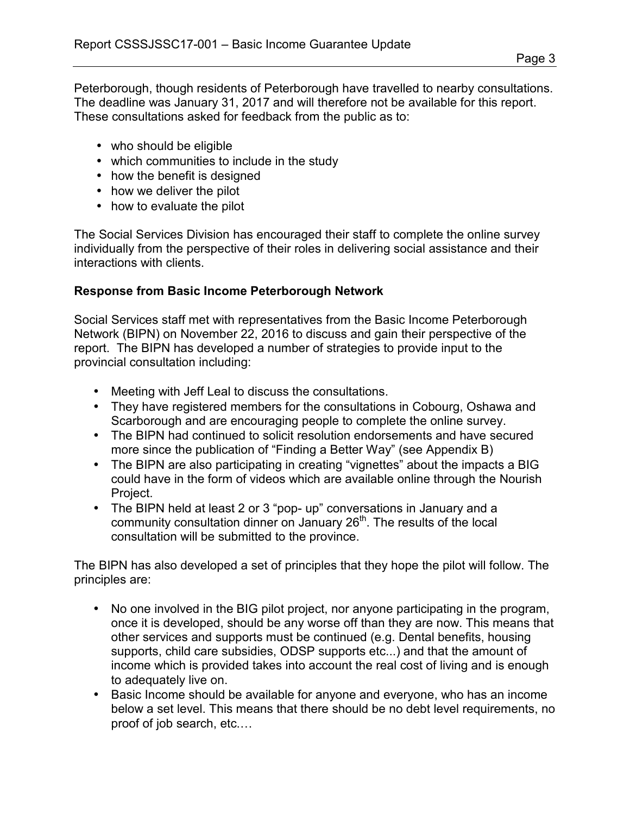Peterborough, though residents of Peterborough have travelled to nearby consultations. The deadline was January 31, 2017 and will therefore not be available for this report. These consultations asked for feedback from the public as to:

- who should be eligible
- which communities to include in the study
- how the benefit is designed
- how we deliver the pilot
- how to evaluate the pilot

The Social Services Division has encouraged their staff to complete the online survey individually from the perspective of their roles in delivering social assistance and their interactions with clients.

#### **Response from Basic Income Peterborough Network**

Social Services staff met with representatives from the Basic Income Peterborough Network (BIPN) on November 22, 2016 to discuss and gain their perspective of the report. The BIPN has developed a number of strategies to provide input to the provincial consultation including:

- Meeting with Jeff Leal to discuss the consultations.
- They have registered members for the consultations in Cobourg, Oshawa and Scarborough and are encouraging people to complete the online survey.
- The BIPN had continued to solicit resolution endorsements and have secured more since the publication of "Finding a Better Way" (see Appendix B)
- The BIPN are also participating in creating "vignettes" about the impacts a BIG could have in the form of videos which are available online through the Nourish Project.
- The BIPN held at least 2 or 3 "pop- up" conversations in January and a community consultation dinner on January 26<sup>th</sup>. The results of the local consultation will be submitted to the province.

The BIPN has also developed a set of principles that they hope the pilot will follow. The principles are:

- No one involved in the BIG pilot project, nor anyone participating in the program, once it is developed, should be any worse off than they are now. This means that other services and supports must be continued (e.g. Dental benefits, housing supports, child care subsidies, ODSP supports etc...) and that the amount of income which is provided takes into account the real cost of living and is enough to adequately live on.
- Basic Income should be available for anyone and everyone, who has an income below a set level. This means that there should be no debt level requirements, no proof of job search, etc.…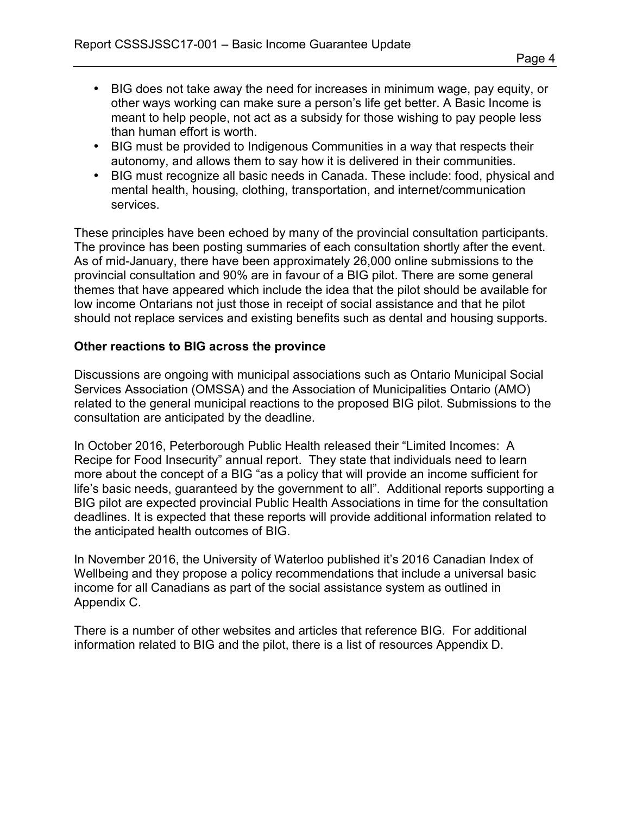- BIG does not take away the need for increases in minimum wage, pay equity, or other ways working can make sure a person's life get better. A Basic Income is meant to help people, not act as a subsidy for those wishing to pay people less than human effort is worth.
- BIG must be provided to Indigenous Communities in a way that respects their autonomy, and allows them to say how it is delivered in their communities.
- BIG must recognize all basic needs in Canada. These include: food, physical and mental health, housing, clothing, transportation, and internet/communication services.

These principles have been echoed by many of the provincial consultation participants. The province has been posting summaries of each consultation shortly after the event. As of mid-January, there have been approximately 26,000 online submissions to the provincial consultation and 90% are in favour of a BIG pilot. There are some general themes that have appeared which include the idea that the pilot should be available for low income Ontarians not just those in receipt of social assistance and that he pilot should not replace services and existing benefits such as dental and housing supports.

#### **Other reactions to BIG across the province**

Discussions are ongoing with municipal associations such as Ontario Municipal Social Services Association (OMSSA) and the Association of Municipalities Ontario (AMO) related to the general municipal reactions to the proposed BIG pilot. Submissions to the consultation are anticipated by the deadline.

In October 2016, Peterborough Public Health released their "Limited Incomes: A Recipe for Food Insecurity" annual report. They state that individuals need to learn more about the concept of a BIG "as a policy that will provide an income sufficient for life's basic needs, guaranteed by the government to all". Additional reports supporting a BIG pilot are expected provincial Public Health Associations in time for the consultation deadlines. It is expected that these reports will provide additional information related to the anticipated health outcomes of BIG.

In November 2016, the University of Waterloo published it's 2016 Canadian Index of Wellbeing and they propose a policy recommendations that include a universal basic income for all Canadians as part of the social assistance system as outlined in Appendix C.

There is a number of other websites and articles that reference BIG. For additional information related to BIG and the pilot, there is a list of resources Appendix D.